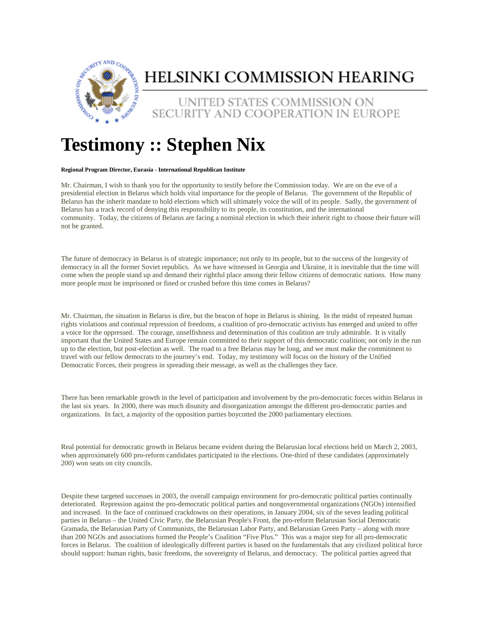

## HELSINKI COMMISSION HEARING

UNITED STATES COMMISSION ON SECURITY AND COOPERATION IN EUROPE

## **Testimony :: Stephen Nix**

## **Regional Program Director, Eurasia - International Republican Institute**

Mr. Chairman, I wish to thank you for the opportunity to testify before the Commission today. We are on the eve of a presidential election in Belarus which holds vital importance for the people of Belarus. The government of the Republic of Belarus has the inherit mandate to hold elections which will ultimately voice the will of its people. Sadly, the government of Belarus has a track record of denying this responsibility to its people, its constitution, and the international community. Today, the citizens of Belarus are facing a nominal election in which their inherit right to choose their future will not be granted.

The future of democracy in Belarus is of strategic importance; not only to its people, but to the success of the longevity of democracy in all the former Soviet republics. As we have witnessed in Georgia and Ukraine, it is inevitable that the time will come when the people stand up and demand their rightful place among their fellow citizens of democratic nations. How many more people must be imprisoned or fined or crushed before this time comes in Belarus?

Mr. Chairman, the situation in Belarus is dire, but the beacon of hope in Belarus is shining. In the midst of repeated human rights violations and continual repression of freedoms, a coalition of pro-democratic activists has emerged and united to offer a voice for the oppressed. The courage, unselfishness and determination of this coalition are truly admirable. It is vitally important that the United States and Europe remain committed to their support of this democratic coalition; not only in the run up to the election, but post-election as well. The road to a free Belarus may be long, and we must make the commitment to travel with our fellow democrats to the journey's end. Today, my testimony will focus on the history of the Unified Democratic Forces, their progress in spreading their message, as well as the challenges they face.

There has been remarkable growth in the level of participation and involvement by the pro-democratic forces within Belarus in the last six years. In 2000, there was much disunity and disorganization amongst the different pro-democratic parties and organizations. In fact, a majority of the opposition parties boycotted the 2000 parliamentary elections.

Real potential for democratic growth in Belarus became evident during the Belarusian local elections held on March 2, 2003, when approximately 600 pro-reform candidates participated in the elections. One-third of these candidates (approximately 200) won seats on city councils.

Despite these targeted successes in 2003, the overall campaign environment for pro-democratic political parties continually deteriorated. Repression against the pro-democratic political parties and nongovernmental organizations (NGOs) intensified and increased. In the face of continued crackdowns on their operations, in January 2004, six of the seven leading political parties in Belarus – the United Civic Party, the Belarusian People's Front, the pro-reform Belarusian Social Democratic Gramada, the Belarusian Party of Communists, the Belarusian Labor Party, and Belarusian Green Party – along with more than 200 NGOs and associations formed the People's Coalition "Five Plus." This was a major step for all pro-democratic forces in Belarus. The coalition of ideologically different parties is based on the fundamentals that any civilized political force should support: human rights, basic freedoms, the sovereignty of Belarus, and democracy. The political parties agreed that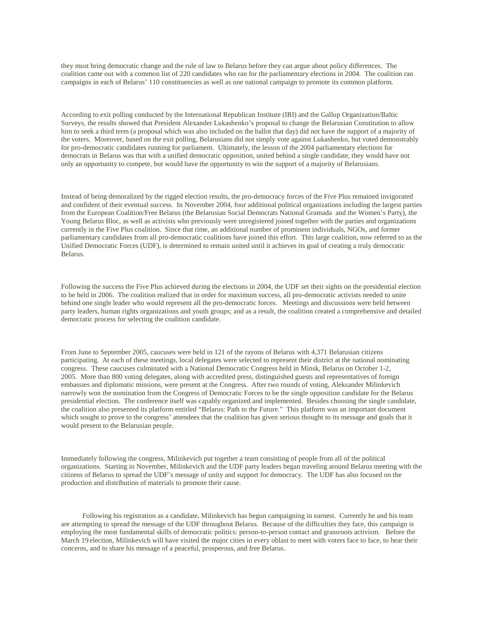they must bring democratic change and the rule of law to Belarus before they can argue about policy differences. The coalition came out with a common list of 220 candidates who ran for the parliamentary elections in 2004. The coalition ran campaigns in each of Belarus' 110 constituencies as well as one national campaign to promote its common platform.

According to exit polling conducted by the International Republican Institute (IRI) and the Gallup Organization/Baltic Surveys, the results showed that President Alexander Lukashenko's proposal to change the Belarusian Constitution to allow him to seek a third term (a proposal which was also included on the ballot that day) did not have the support of a majority of the voters. Moreover, based on the exit polling, Belarusians did not simply vote against Lukashenko, but voted demonstrably for pro-democratic candidates running for parliament. Ultimately, the lesson of the 2004 parliamentary elections for democrats in Belarus was that with a unified democratic opposition, united behind a single candidate, they would have not only an opportunity to compete, but would have the opportunity to win the support of a majority of Belarusians.

Instead of being demoralized by the rigged election results, the pro-democracy forces of the Five Plus remained invigorated and confident of their eventual success. In November 2004, four additional political organizations including the largest parties from the European Coalition/Free Belarus (the Belarusian Social Democrats National Gramada and the Women's Party), the Young Belarus Bloc, as well as activists who previously were unregistered joined together with the parties and organizations currently in the Five Plus coalition. Since that time, an additional number of prominent individuals, NGOs, and former parliamentary candidates from all pro-democratic coalitions have joined this effort. This large coalition, now referred to as the Unified Democratic Forces (UDF), is determined to remain united until it achieves its goal of creating a truly democratic Belarus.

Following the success the Five Plus achieved during the elections in 2004, the UDF set their sights on the presidential election to be held in 2006. The coalition realized that in order for maximum success, all pro-democratic activists needed to unite behind one single leader who would represent all the pro-democratic forces. Meetings and discussions were held between party leaders, human rights organizations and youth groups; and as a result, the coalition created a comprehensive and detailed democratic process for selecting the coalition candidate.

From June to September 2005, caucuses were held in 121 of the rayons of Belarus with 4,371 Belarusian citizens participating. At each of these meetings, local delegates were selected to represent their district at the national nominating congress. These caucuses culminated with a National Democratic Congress held in Minsk, Belarus on October 1-2, 2005. More than 800 voting delegates, along with accredited press, distinguished guests and representatives of foreign embassies and diplomatic missions, were present at the Congress. After two rounds of voting, Aleksander Milinkevich narrowly won the nomination from the Congress of Democratic Forces to be the single opposition candidate for the Belarus presidential election. The conference itself was capably organized and implemented. Besides choosing the single candidate, the coalition also presented its platform entitled "Belarus: Path to the Future." This platform was an important document which sought to prove to the congress' attendees that the coalition has given serious thought to its message and goals that it would present to the Belarusian people.

Immediately following the congress, Milinkevich put together a team consisting of people from all of the political organizations. Starting in November, Milinkevich and the UDF party leaders began traveling around Belarus meeting with the citizens of Belarus to spread the UDF's message of unity and support for democracy. The UDF has also focused on the production and distribution of materials to promote their cause.

 Following his registration as a candidate, Milinkevich has begun campaigning in earnest. Currently he and his team are attempting to spread the message of the UDF throughout Belarus. Because of the difficulties they face, this campaign is employing the most fundamental skills of democratic politics: person-to-person contact and grassroots activism. Before the March 19 election, Milinkevich will have visited the major cities in every oblast to meet with voters face to face, to hear their concerns, and to share his message of a peaceful, prosperous, and free Belarus.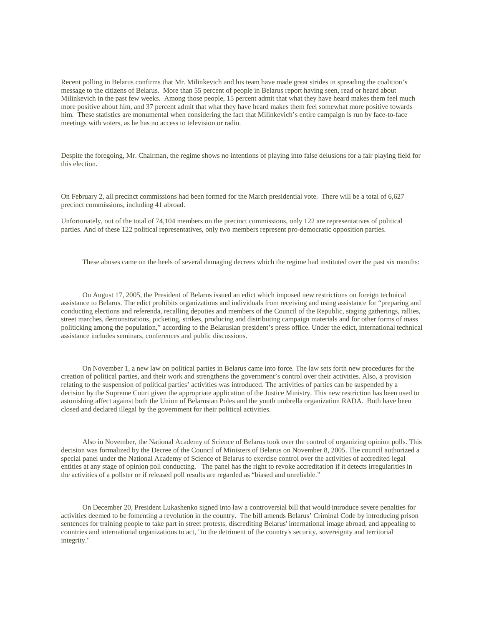Recent polling in Belarus confirms that Mr. Milinkevich and his team have made great strides in spreading the coalition's message to the citizens of Belarus. More than 55 percent of people in Belarus report having seen, read or heard about Milinkevich in the past few weeks. Among those people, 15 percent admit that what they have heard makes them feel much more positive about him, and 37 percent admit that what they have heard makes them feel somewhat more positive towards him. These statistics are monumental when considering the fact that Milinkevich's entire campaign is run by face-to-face meetings with voters, as he has no access to television or radio.

Despite the foregoing, Mr. Chairman, the regime shows no intentions of playing into false delusions for a fair playing field for this election.

On February 2, all precinct commissions had been formed for the March presidential vote. There will be a total of 6,627 precinct commissions, including 41 abroad.

Unfortunately, out of the total of 74,104 members on the precinct commissions, only 122 are representatives of political parties. And of these 122 political representatives, only two members represent pro-democratic opposition parties.

These abuses came on the heels of several damaging decrees which the regime had instituted over the past six months:

 On August 17, 2005, the President of Belarus issued an edict which imposed new restrictions on foreign technical assistance to Belarus. The edict prohibits organizations and individuals from receiving and using assistance for "preparing and conducting elections and referenda, recalling deputies and members of the Council of the Republic, staging gatherings, rallies, street marches, demonstrations, picketing, strikes, producing and distributing campaign materials and for other forms of mass politicking among the population," according to the Belarusian president's press office. Under the edict, international technical assistance includes seminars, conferences and public discussions.

 On November 1, a new law on political parties in Belarus came into force. The law sets forth new procedures for the creation of political parties, and their work and strengthens the government's control over their activities. Also, a provision relating to the suspension of political parties' activities was introduced. The activities of parties can be suspended by a decision by the Supreme Court given the appropriate application of the Justice Ministry. This new restriction has been used to astonishing affect against both the Union of Belarusian Poles and the youth umbrella organization RADA. Both have been closed and declared illegal by the government for their political activities.

 Also in November, the National Academy of Science of Belarus took over the control of organizing opinion polls. This decision was formalized by the Decree of the Council of Ministers of Belarus on November 8, 2005. The council authorized a special panel under the National Academy of Science of Belarus to exercise control over the activities of accredited legal entities at any stage of opinion poll conducting. The panel has the right to revoke accreditation if it detects irregularities in the activities of a pollster or if released poll results are regarded as "biased and unreliable."

 On December 20, President Lukashenko signed into law a controversial bill that would introduce severe penalties for activities deemed to be fomenting a revolution in the country. The bill amends Belarus' Criminal Code by introducing prison sentences for training people to take part in street protests, discrediting Belarus' international image abroad, and appealing to countries and international organizations to act, "to the detriment of the country's security, sovereignty and territorial integrity."